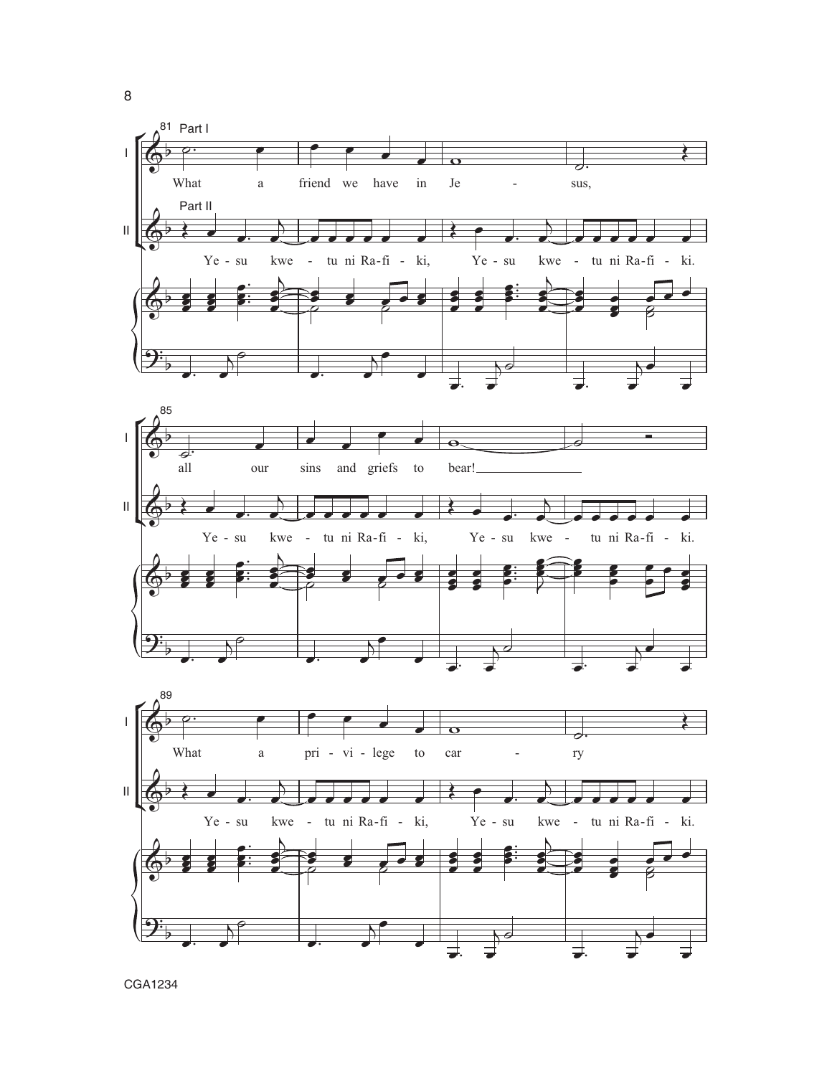

CGA1234

8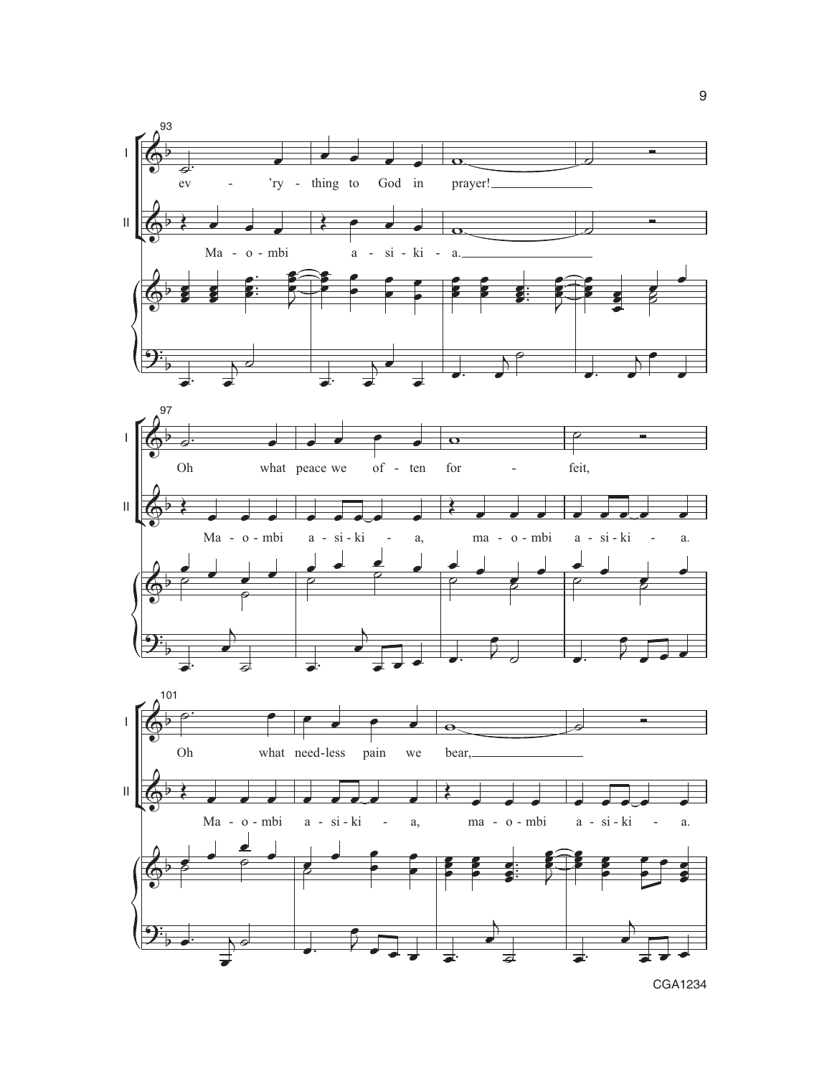

9

CGA1234